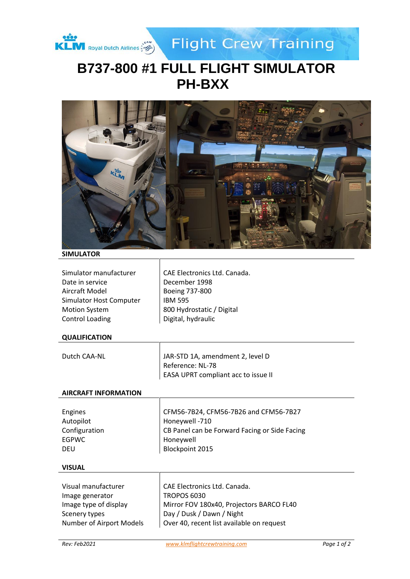

**Flight Crew Training** 

# **B737-800 #1 FULL FLIGHT SIMULATOR PH-BXX**



## **SIMULATOR**

| Simulator manufacturer  |  |
|-------------------------|--|
| Date in service         |  |
| Aircraft Model          |  |
| Simulator Host Computer |  |
| <b>Motion System</b>    |  |
| <b>Control Loading</b>  |  |

CAE Electronics Ltd. Canada. December 1998 Boeing 737-800 **IBM 595** 800 Hydrostatic / Digital Digital, hydraulic

## **QUALIFICATION**

| Dutch CAA-NL | JAR-STD 1A, amendment 2, level D    |
|--------------|-------------------------------------|
|              | Reference: NL-78                    |
|              | EASA UPRT compliant acc to issue II |

#### **AIRCRAFT INFORMATION**

| Engines       | CFM56-7B24, CFM56-7B26 and CFM56-7B27         |
|---------------|-----------------------------------------------|
| Autopilot     | Honeywell -710                                |
| Configuration | CB Panel can be Forward Facing or Side Facing |
| EGPWC         | Honeywell                                     |
| <b>DEU</b>    | Blockpoint 2015                               |
|               |                                               |

#### **VISUAL**

| CAE Electronics Ltd. Canada.              |
|-------------------------------------------|
| <b>TROPOS 6030</b>                        |
| Mirror FOV 180x40, Projectors BARCO FL40  |
| Day / Dusk / Dawn / Night                 |
| Over 40, recent list available on request |
|                                           |